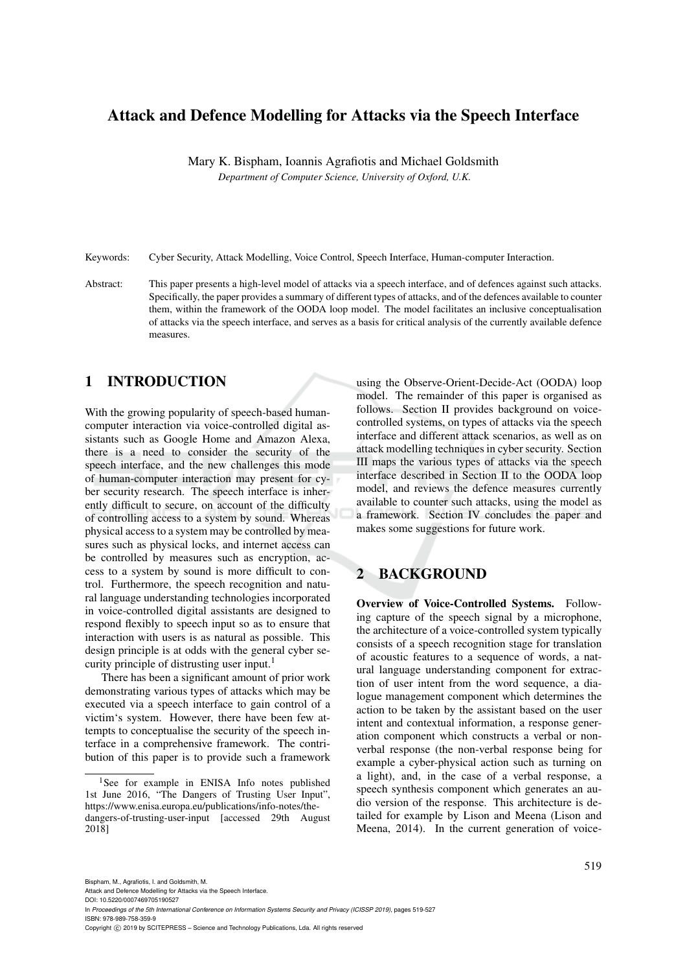## Attack and Defence Modelling for Attacks via the Speech Interface

Mary K. Bispham, Ioannis Agrafiotis and Michael Goldsmith *Department of Computer Science, University of Oxford, U.K.*

Keywords: Cyber Security, Attack Modelling, Voice Control, Speech Interface, Human-computer Interaction.

Abstract: This paper presents a high-level model of attacks via a speech interface, and of defences against such attacks. Specifically, the paper provides a summary of different types of attacks, and of the defences available to counter them, within the framework of the OODA loop model. The model facilitates an inclusive conceptualisation of attacks via the speech interface, and serves as a basis for critical analysis of the currently available defence measures.

## 1 INTRODUCTION

With the growing popularity of speech-based humancomputer interaction via voice-controlled digital assistants such as Google Home and Amazon Alexa, there is a need to consider the security of the speech interface, and the new challenges this mode of human-computer interaction may present for cyber security research. The speech interface is inherently difficult to secure, on account of the difficulty of controlling access to a system by sound. Whereas physical access to a system may be controlled by measures such as physical locks, and internet access can be controlled by measures such as encryption, access to a system by sound is more difficult to control. Furthermore, the speech recognition and natural language understanding technologies incorporated in voice-controlled digital assistants are designed to respond flexibly to speech input so as to ensure that interaction with users is as natural as possible. This design principle is at odds with the general cyber security principle of distrusting user input.<sup>1</sup>

There has been a significant amount of prior work demonstrating various types of attacks which may be executed via a speech interface to gain control of a victim's system. However, there have been few attempts to conceptualise the security of the speech interface in a comprehensive framework. The contribution of this paper is to provide such a framework

using the Observe-Orient-Decide-Act (OODA) loop model. The remainder of this paper is organised as follows. Section II provides background on voicecontrolled systems, on types of attacks via the speech interface and different attack scenarios, as well as on attack modelling techniques in cyber security. Section III maps the various types of attacks via the speech interface described in Section II to the OODA loop model, and reviews the defence measures currently available to counter such attacks, using the model as a framework. Section IV concludes the paper and makes some suggestions for future work.

# **BACKGROUND**

Overview of Voice-Controlled Systems. Following capture of the speech signal by a microphone, the architecture of a voice-controlled system typically consists of a speech recognition stage for translation of acoustic features to a sequence of words, a natural language understanding component for extraction of user intent from the word sequence, a dialogue management component which determines the action to be taken by the assistant based on the user intent and contextual information, a response generation component which constructs a verbal or nonverbal response (the non-verbal response being for example a cyber-physical action such as turning on a light), and, in the case of a verbal response, a speech synthesis component which generates an audio version of the response. This architecture is detailed for example by Lison and Meena (Lison and Meena, 2014). In the current generation of voice-

Bispham, M., Agrafiotis, I. and Goldsmith, M.

Attack and Defence Modelling for Attacks via the Speech Interface.

DOI: 10.5220/0007469705190527

In *Proceedings of the 5th International Conference on Information Systems Security and Privacy (ICISSP 2019)*, pages 519-527 ISBN: 978-989-758-359-9

<sup>&</sup>lt;sup>1</sup>See for example in ENISA Info notes published 1st June 2016, "The Dangers of Trusting User Input", https://www.enisa.europa.eu/publications/info-notes/thedangers-of-trusting-user-input [accessed 29th August 2018]

Copyright © 2019 by SCITEPRESS - Science and Technology Publications, Lda. All rights reserved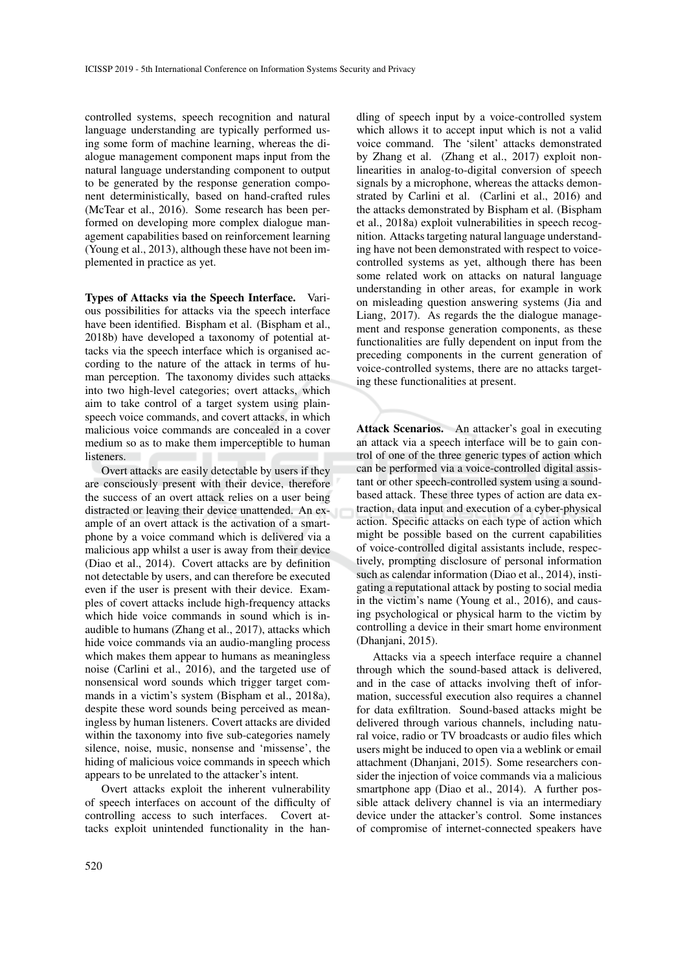controlled systems, speech recognition and natural language understanding are typically performed using some form of machine learning, whereas the dialogue management component maps input from the natural language understanding component to output to be generated by the response generation component deterministically, based on hand-crafted rules (McTear et al., 2016). Some research has been performed on developing more complex dialogue management capabilities based on reinforcement learning (Young et al., 2013), although these have not been implemented in practice as yet.

Types of Attacks via the Speech Interface. Various possibilities for attacks via the speech interface have been identified. Bispham et al. (Bispham et al., 2018b) have developed a taxonomy of potential attacks via the speech interface which is organised according to the nature of the attack in terms of human perception. The taxonomy divides such attacks into two high-level categories; overt attacks, which aim to take control of a target system using plainspeech voice commands, and covert attacks, in which malicious voice commands are concealed in a cover medium so as to make them imperceptible to human listeners.

Overt attacks are easily detectable by users if they are consciously present with their device, therefore the success of an overt attack relies on a user being distracted or leaving their device unattended. An example of an overt attack is the activation of a smartphone by a voice command which is delivered via a malicious app whilst a user is away from their device (Diao et al., 2014). Covert attacks are by definition not detectable by users, and can therefore be executed even if the user is present with their device. Examples of covert attacks include high-frequency attacks which hide voice commands in sound which is inaudible to humans (Zhang et al., 2017), attacks which hide voice commands via an audio-mangling process which makes them appear to humans as meaningless noise (Carlini et al., 2016), and the targeted use of nonsensical word sounds which trigger target commands in a victim's system (Bispham et al., 2018a), despite these word sounds being perceived as meaningless by human listeners. Covert attacks are divided within the taxonomy into five sub-categories namely silence, noise, music, nonsense and 'missense', the hiding of malicious voice commands in speech which appears to be unrelated to the attacker's intent.

Overt attacks exploit the inherent vulnerability of speech interfaces on account of the difficulty of controlling access to such interfaces. Covert attacks exploit unintended functionality in the handling of speech input by a voice-controlled system which allows it to accept input which is not a valid voice command. The 'silent' attacks demonstrated by Zhang et al. (Zhang et al., 2017) exploit nonlinearities in analog-to-digital conversion of speech signals by a microphone, whereas the attacks demonstrated by Carlini et al. (Carlini et al., 2016) and the attacks demonstrated by Bispham et al. (Bispham et al., 2018a) exploit vulnerabilities in speech recognition. Attacks targeting natural language understanding have not been demonstrated with respect to voicecontrolled systems as yet, although there has been some related work on attacks on natural language understanding in other areas, for example in work on misleading question answering systems (Jia and Liang, 2017). As regards the the dialogue management and response generation components, as these functionalities are fully dependent on input from the preceding components in the current generation of voice-controlled systems, there are no attacks targeting these functionalities at present.

Attack Scenarios. An attacker's goal in executing an attack via a speech interface will be to gain control of one of the three generic types of action which can be performed via a voice-controlled digital assistant or other speech-controlled system using a soundbased attack. These three types of action are data extraction, data input and execution of a cyber-physical action. Specific attacks on each type of action which might be possible based on the current capabilities of voice-controlled digital assistants include, respectively, prompting disclosure of personal information such as calendar information (Diao et al., 2014), instigating a reputational attack by posting to social media in the victim's name (Young et al., 2016), and causing psychological or physical harm to the victim by controlling a device in their smart home environment (Dhanjani, 2015).

Attacks via a speech interface require a channel through which the sound-based attack is delivered, and in the case of attacks involving theft of information, successful execution also requires a channel for data exfiltration. Sound-based attacks might be delivered through various channels, including natural voice, radio or TV broadcasts or audio files which users might be induced to open via a weblink or email attachment (Dhanjani, 2015). Some researchers consider the injection of voice commands via a malicious smartphone app (Diao et al., 2014). A further possible attack delivery channel is via an intermediary device under the attacker's control. Some instances of compromise of internet-connected speakers have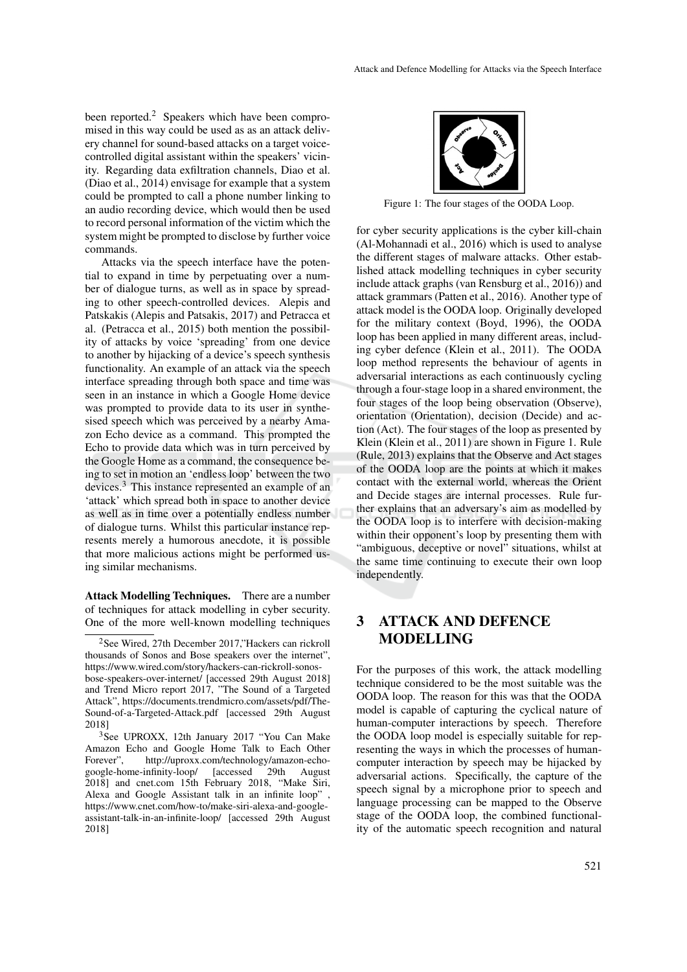been reported.<sup>2</sup> Speakers which have been compromised in this way could be used as as an attack delivery channel for sound-based attacks on a target voicecontrolled digital assistant within the speakers' vicinity. Regarding data exfiltration channels, Diao et al. (Diao et al., 2014) envisage for example that a system could be prompted to call a phone number linking to an audio recording device, which would then be used to record personal information of the victim which the system might be prompted to disclose by further voice commands.

Attacks via the speech interface have the potential to expand in time by perpetuating over a number of dialogue turns, as well as in space by spreading to other speech-controlled devices. Alepis and Patskakis (Alepis and Patsakis, 2017) and Petracca et al. (Petracca et al., 2015) both mention the possibility of attacks by voice 'spreading' from one device to another by hijacking of a device's speech synthesis functionality. An example of an attack via the speech interface spreading through both space and time was seen in an instance in which a Google Home device was prompted to provide data to its user in synthesised speech which was perceived by a nearby Amazon Echo device as a command. This prompted the Echo to provide data which was in turn perceived by the Google Home as a command, the consequence being to set in motion an 'endless loop' between the two devices.<sup>3</sup> This instance represented an example of an 'attack' which spread both in space to another device as well as in time over a potentially endless number of dialogue turns. Whilst this particular instance represents merely a humorous anecdote, it is possible that more malicious actions might be performed using similar mechanisms.

Attack Modelling Techniques. There are a number of techniques for attack modelling in cyber security. One of the more well-known modelling techniques



Figure 1: The four stages of the OODA Loop.

for cyber security applications is the cyber kill-chain (Al-Mohannadi et al., 2016) which is used to analyse the different stages of malware attacks. Other established attack modelling techniques in cyber security include attack graphs (van Rensburg et al., 2016)) and attack grammars (Patten et al., 2016). Another type of attack model is the OODA loop. Originally developed for the military context (Boyd, 1996), the OODA loop has been applied in many different areas, including cyber defence (Klein et al., 2011). The OODA loop method represents the behaviour of agents in adversarial interactions as each continuously cycling through a four-stage loop in a shared environment, the four stages of the loop being observation (Observe), orientation (Orientation), decision (Decide) and action (Act). The four stages of the loop as presented by Klein (Klein et al., 2011) are shown in Figure 1. Rule (Rule, 2013) explains that the Observe and Act stages of the OODA loop are the points at which it makes contact with the external world, whereas the Orient and Decide stages are internal processes. Rule further explains that an adversary's aim as modelled by the OODA loop is to interfere with decision-making within their opponent's loop by presenting them with "ambiguous, deceptive or novel" situations, whilst at the same time continuing to execute their own loop independently.

#### 3 ATTACK AND DEFENCE MODELLING

For the purposes of this work, the attack modelling technique considered to be the most suitable was the OODA loop. The reason for this was that the OODA model is capable of capturing the cyclical nature of human-computer interactions by speech. Therefore the OODA loop model is especially suitable for representing the ways in which the processes of humancomputer interaction by speech may be hijacked by adversarial actions. Specifically, the capture of the speech signal by a microphone prior to speech and language processing can be mapped to the Observe stage of the OODA loop, the combined functionality of the automatic speech recognition and natural

<sup>&</sup>lt;sup>2</sup>See Wired, 27th December 2017,"Hackers can rickroll thousands of Sonos and Bose speakers over the internet", https://www.wired.com/story/hackers-can-rickroll-sonosbose-speakers-over-internet/ [accessed 29th August 2018] and Trend Micro report 2017, "The Sound of a Targeted Attack", https://documents.trendmicro.com/assets/pdf/The-Sound-of-a-Targeted-Attack.pdf [accessed 29th August 2018]

<sup>3</sup>See UPROXX, 12th January 2017 "You Can Make Amazon Echo and Google Home Talk to Each Other Forever", http://uproxx.com/technology/amazon-echo-<br>google-home-infinity-loop/ [accessed 29th August google-home-infinity-loop/ [accessed 29th August 2018] and cnet.com 15th February 2018, "Make Siri, Alexa and Google Assistant talk in an infinite loop" , https://www.cnet.com/how-to/make-siri-alexa-and-googleassistant-talk-in-an-infinite-loop/ [accessed 29th August 2018]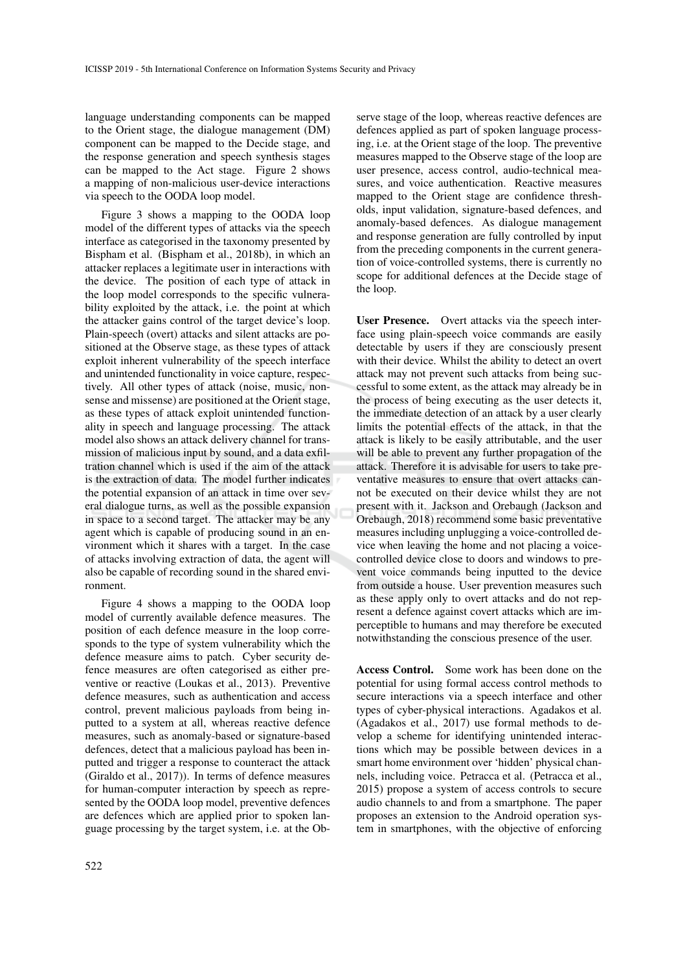language understanding components can be mapped to the Orient stage, the dialogue management (DM) component can be mapped to the Decide stage, and the response generation and speech synthesis stages can be mapped to the Act stage. Figure 2 shows a mapping of non-malicious user-device interactions via speech to the OODA loop model.

Figure 3 shows a mapping to the OODA loop model of the different types of attacks via the speech interface as categorised in the taxonomy presented by Bispham et al. (Bispham et al., 2018b), in which an attacker replaces a legitimate user in interactions with the device. The position of each type of attack in the loop model corresponds to the specific vulnerability exploited by the attack, i.e. the point at which the attacker gains control of the target device's loop. Plain-speech (overt) attacks and silent attacks are positioned at the Observe stage, as these types of attack exploit inherent vulnerability of the speech interface and unintended functionality in voice capture, respectively. All other types of attack (noise, music, nonsense and missense) are positioned at the Orient stage, as these types of attack exploit unintended functionality in speech and language processing. The attack model also shows an attack delivery channel for transmission of malicious input by sound, and a data exfiltration channel which is used if the aim of the attack is the extraction of data. The model further indicates the potential expansion of an attack in time over several dialogue turns, as well as the possible expansion in space to a second target. The attacker may be any agent which is capable of producing sound in an environment which it shares with a target. In the case of attacks involving extraction of data, the agent will also be capable of recording sound in the shared environment.

Figure 4 shows a mapping to the OODA loop model of currently available defence measures. The position of each defence measure in the loop corresponds to the type of system vulnerability which the defence measure aims to patch. Cyber security defence measures are often categorised as either preventive or reactive (Loukas et al., 2013). Preventive defence measures, such as authentication and access control, prevent malicious payloads from being inputted to a system at all, whereas reactive defence measures, such as anomaly-based or signature-based defences, detect that a malicious payload has been inputted and trigger a response to counteract the attack (Giraldo et al., 2017)). In terms of defence measures for human-computer interaction by speech as represented by the OODA loop model, preventive defences are defences which are applied prior to spoken language processing by the target system, i.e. at the Ob-

serve stage of the loop, whereas reactive defences are defences applied as part of spoken language processing, i.e. at the Orient stage of the loop. The preventive measures mapped to the Observe stage of the loop are user presence, access control, audio-technical measures, and voice authentication. Reactive measures mapped to the Orient stage are confidence thresholds, input validation, signature-based defences, and anomaly-based defences. As dialogue management and response generation are fully controlled by input from the preceding components in the current generation of voice-controlled systems, there is currently no scope for additional defences at the Decide stage of the loop.

User Presence. Overt attacks via the speech interface using plain-speech voice commands are easily detectable by users if they are consciously present with their device. Whilst the ability to detect an overt attack may not prevent such attacks from being successful to some extent, as the attack may already be in the process of being executing as the user detects it, the immediate detection of an attack by a user clearly limits the potential effects of the attack, in that the attack is likely to be easily attributable, and the user will be able to prevent any further propagation of the attack. Therefore it is advisable for users to take preventative measures to ensure that overt attacks cannot be executed on their device whilst they are not present with it. Jackson and Orebaugh (Jackson and Orebaugh, 2018) recommend some basic preventative measures including unplugging a voice-controlled device when leaving the home and not placing a voicecontrolled device close to doors and windows to prevent voice commands being inputted to the device from outside a house. User prevention measures such as these apply only to overt attacks and do not represent a defence against covert attacks which are imperceptible to humans and may therefore be executed notwithstanding the conscious presence of the user.

Access Control. Some work has been done on the potential for using formal access control methods to secure interactions via a speech interface and other types of cyber-physical interactions. Agadakos et al. (Agadakos et al., 2017) use formal methods to develop a scheme for identifying unintended interactions which may be possible between devices in a smart home environment over 'hidden' physical channels, including voice. Petracca et al. (Petracca et al., 2015) propose a system of access controls to secure audio channels to and from a smartphone. The paper proposes an extension to the Android operation system in smartphones, with the objective of enforcing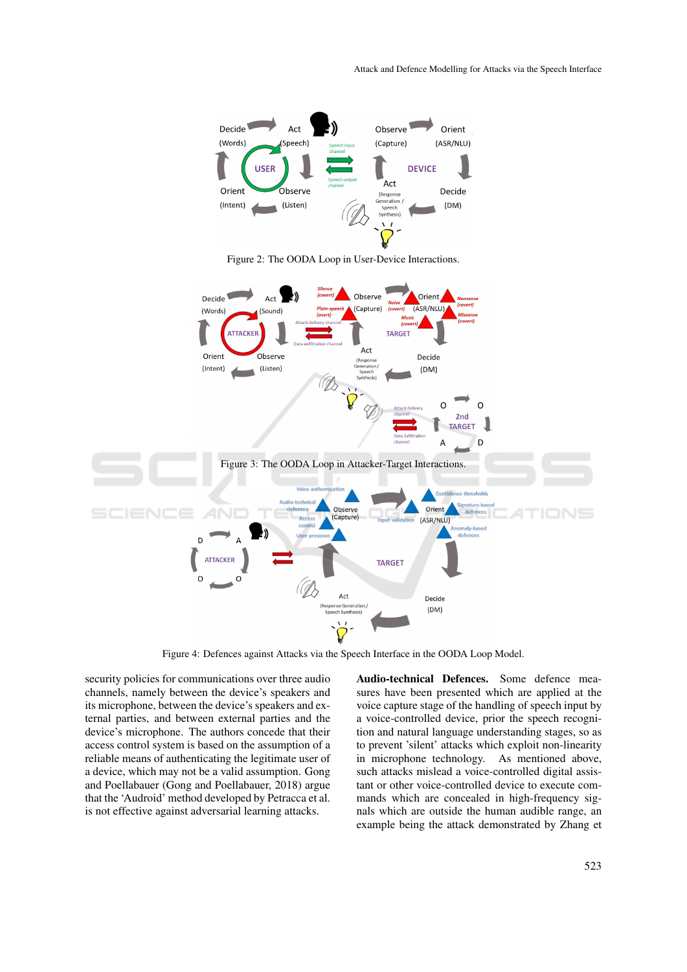

Figure 2: The OODA Loop in User-Device Interactions.



Figure 4: Defences against Attacks via the Speech Interface in the OODA Loop Model.

security policies for communications over three audio channels, namely between the device's speakers and its microphone, between the device's speakers and external parties, and between external parties and the device's microphone. The authors concede that their access control system is based on the assumption of a reliable means of authenticating the legitimate user of a device, which may not be a valid assumption. Gong and Poellabauer (Gong and Poellabauer, 2018) argue that the 'Audroid' method developed by Petracca et al. is not effective against adversarial learning attacks.

Audio-technical Defences. Some defence measures have been presented which are applied at the voice capture stage of the handling of speech input by a voice-controlled device, prior the speech recognition and natural language understanding stages, so as to prevent 'silent' attacks which exploit non-linearity in microphone technology. As mentioned above, such attacks mislead a voice-controlled digital assistant or other voice-controlled device to execute commands which are concealed in high-frequency signals which are outside the human audible range, an example being the attack demonstrated by Zhang et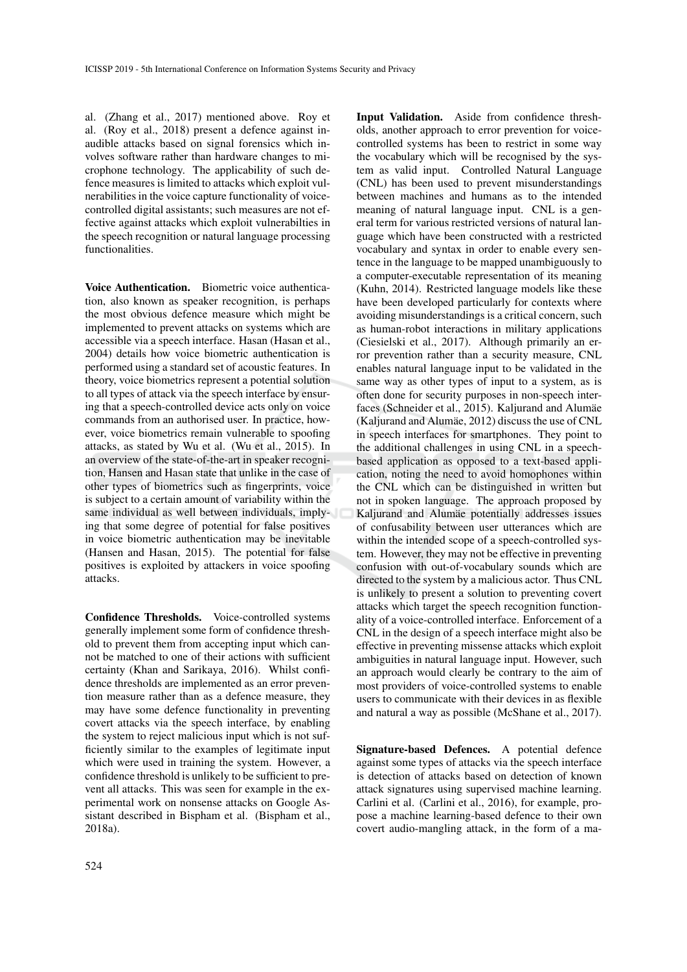al. (Zhang et al., 2017) mentioned above. Roy et al. (Roy et al., 2018) present a defence against inaudible attacks based on signal forensics which involves software rather than hardware changes to microphone technology. The applicability of such defence measures is limited to attacks which exploit vulnerabilities in the voice capture functionality of voicecontrolled digital assistants; such measures are not effective against attacks which exploit vulnerabilties in the speech recognition or natural language processing functionalities.

Voice Authentication. Biometric voice authentication, also known as speaker recognition, is perhaps the most obvious defence measure which might be implemented to prevent attacks on systems which are accessible via a speech interface. Hasan (Hasan et al., 2004) details how voice biometric authentication is performed using a standard set of acoustic features. In theory, voice biometrics represent a potential solution to all types of attack via the speech interface by ensuring that a speech-controlled device acts only on voice commands from an authorised user. In practice, however, voice biometrics remain vulnerable to spoofing attacks, as stated by Wu et al. (Wu et al., 2015). In an overview of the state-of-the-art in speaker recognition, Hansen and Hasan state that unlike in the case of other types of biometrics such as fingerprints, voice is subject to a certain amount of variability within the same individual as well between individuals, implying that some degree of potential for false positives in voice biometric authentication may be inevitable (Hansen and Hasan, 2015). The potential for false positives is exploited by attackers in voice spoofing attacks.

Confidence Thresholds. Voice-controlled systems generally implement some form of confidence threshold to prevent them from accepting input which cannot be matched to one of their actions with sufficient certainty (Khan and Sarikaya, 2016). Whilst confidence thresholds are implemented as an error prevention measure rather than as a defence measure, they may have some defence functionality in preventing covert attacks via the speech interface, by enabling the system to reject malicious input which is not sufficiently similar to the examples of legitimate input which were used in training the system. However, a confidence threshold is unlikely to be sufficient to prevent all attacks. This was seen for example in the experimental work on nonsense attacks on Google Assistant described in Bispham et al. (Bispham et al., 2018a).

Input Validation. Aside from confidence thresholds, another approach to error prevention for voicecontrolled systems has been to restrict in some way the vocabulary which will be recognised by the system as valid input. Controlled Natural Language (CNL) has been used to prevent misunderstandings between machines and humans as to the intended meaning of natural language input. CNL is a general term for various restricted versions of natural language which have been constructed with a restricted vocabulary and syntax in order to enable every sentence in the language to be mapped unambiguously to a computer-executable representation of its meaning (Kuhn, 2014). Restricted language models like these have been developed particularly for contexts where avoiding misunderstandings is a critical concern, such as human-robot interactions in military applications (Ciesielski et al., 2017). Although primarily an error prevention rather than a security measure, CNL enables natural language input to be validated in the same way as other types of input to a system, as is often done for security purposes in non-speech interfaces (Schneider et al., 2015). Kaljurand and Alumäe (Kaljurand and Alumäe, 2012) discuss the use of CNL in speech interfaces for smartphones. They point to the additional challenges in using CNL in a speechbased application as opposed to a text-based application, noting the need to avoid homophones within the CNL which can be distinguished in written but not in spoken language. The approach proposed by Kaljurand and Alumäe potentially addresses issues of confusability between user utterances which are within the intended scope of a speech-controlled system. However, they may not be effective in preventing confusion with out-of-vocabulary sounds which are directed to the system by a malicious actor. Thus CNL is unlikely to present a solution to preventing covert attacks which target the speech recognition functionality of a voice-controlled interface. Enforcement of a CNL in the design of a speech interface might also be effective in preventing missense attacks which exploit ambiguities in natural language input. However, such an approach would clearly be contrary to the aim of most providers of voice-controlled systems to enable users to communicate with their devices in as flexible and natural a way as possible (McShane et al., 2017).

Signature-based Defences. A potential defence against some types of attacks via the speech interface is detection of attacks based on detection of known attack signatures using supervised machine learning. Carlini et al. (Carlini et al., 2016), for example, propose a machine learning-based defence to their own covert audio-mangling attack, in the form of a ma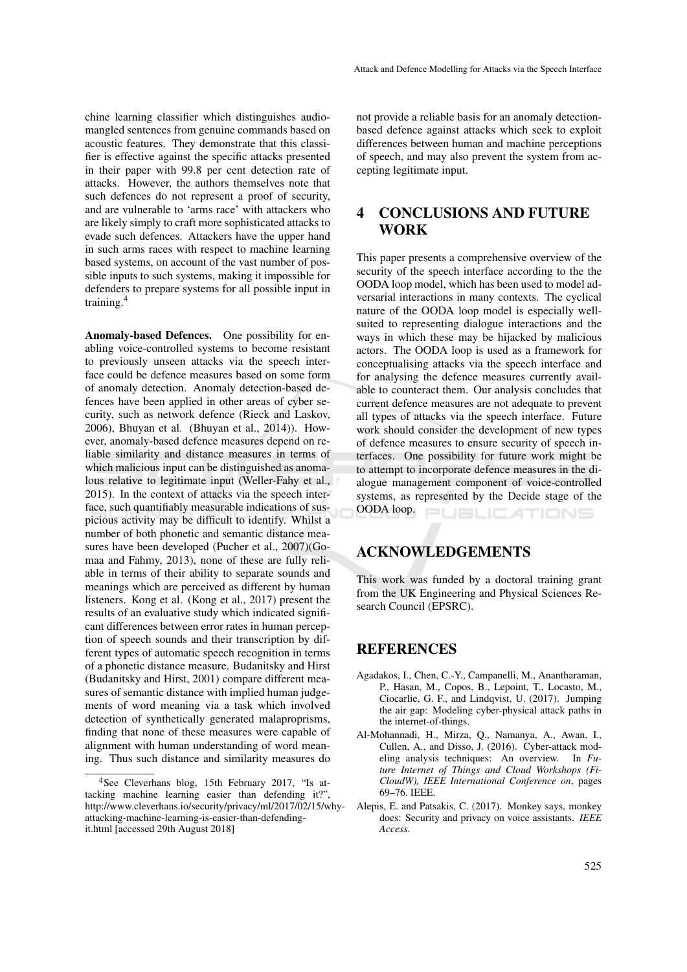chine learning classifier which distinguishes audiomangled sentences from genuine commands based on acoustic features. They demonstrate that this classifier is effective against the specific attacks presented in their paper with 99.8 per cent detection rate of attacks. However, the authors themselves note that such defences do not represent a proof of security, and are vulnerable to 'arms race' with attackers who are likely simply to craft more sophisticated attacks to evade such defences. Attackers have the upper hand in such arms races with respect to machine learning based systems, on account of the vast number of possible inputs to such systems, making it impossible for defenders to prepare systems for all possible input in training.<sup>4</sup>

Anomaly-based Defences. One possibility for enabling voice-controlled systems to become resistant to previously unseen attacks via the speech interface could be defence measures based on some form of anomaly detection. Anomaly detection-based defences have been applied in other areas of cyber security, such as network defence (Rieck and Laskov, 2006), Bhuyan et al. (Bhuyan et al., 2014)). However, anomaly-based defence measures depend on reliable similarity and distance measures in terms of which malicious input can be distinguished as anomalous relative to legitimate input (Weller-Fahy et al., 2015). In the context of attacks via the speech interface, such quantifiably measurable indications of suspicious activity may be difficult to identify. Whilst a number of both phonetic and semantic distance measures have been developed (Pucher et al., 2007)(Gomaa and Fahmy, 2013), none of these are fully reliable in terms of their ability to separate sounds and meanings which are perceived as different by human listeners. Kong et al. (Kong et al., 2017) present the results of an evaluative study which indicated significant differences between error rates in human perception of speech sounds and their transcription by different types of automatic speech recognition in terms of a phonetic distance measure. Budanitsky and Hirst (Budanitsky and Hirst, 2001) compare different measures of semantic distance with implied human judgements of word meaning via a task which involved detection of synthetically generated malaproprisms, finding that none of these measures were capable of alignment with human understanding of word meaning. Thus such distance and similarity measures do

not provide a reliable basis for an anomaly detectionbased defence against attacks which seek to exploit differences between human and machine perceptions of speech, and may also prevent the system from accepting legitimate input.

## 4 CONCLUSIONS AND FUTURE WORK

This paper presents a comprehensive overview of the security of the speech interface according to the the OODA loop model, which has been used to model adversarial interactions in many contexts. The cyclical nature of the OODA loop model is especially wellsuited to representing dialogue interactions and the ways in which these may be hijacked by malicious actors. The OODA loop is used as a framework for conceptualising attacks via the speech interface and for analysing the defence measures currently available to counteract them. Our analysis concludes that current defence measures are not adequate to prevent all types of attacks via the speech interface. Future work should consider the development of new types of defence measures to ensure security of speech interfaces. One possibility for future work might be to attempt to incorporate defence measures in the dialogue management component of voice-controlled systems, as represented by the Decide stage of the OODA loop. **JBLICATIONS** 

#### ACKNOWLEDGEMENTS

This work was funded by a doctoral training grant from the UK Engineering and Physical Sciences Research Council (EPSRC).

#### REFERENCES

- Agadakos, I., Chen, C.-Y., Campanelli, M., Anantharaman, P., Hasan, M., Copos, B., Lepoint, T., Locasto, M., Ciocarlie, G. F., and Lindqvist, U. (2017). Jumping the air gap: Modeling cyber-physical attack paths in the internet-of-things.
- Al-Mohannadi, H., Mirza, Q., Namanya, A., Awan, I., Cullen, A., and Disso, J. (2016). Cyber-attack modeling analysis techniques: An overview. In *Future Internet of Things and Cloud Workshops (Fi-CloudW), IEEE International Conference on*, pages 69–76. IEEE.
- Alepis, E. and Patsakis, C. (2017). Monkey says, monkey does: Security and privacy on voice assistants. *IEEE Access*.

<sup>4</sup>See Cleverhans blog, 15th February 2017, "Is attacking machine learning easier than defending it?", http://www.cleverhans.io/security/privacy/ml/2017/02/15/whyattacking-machine-learning-is-easier-than-defendingit.html [accessed 29th August 2018]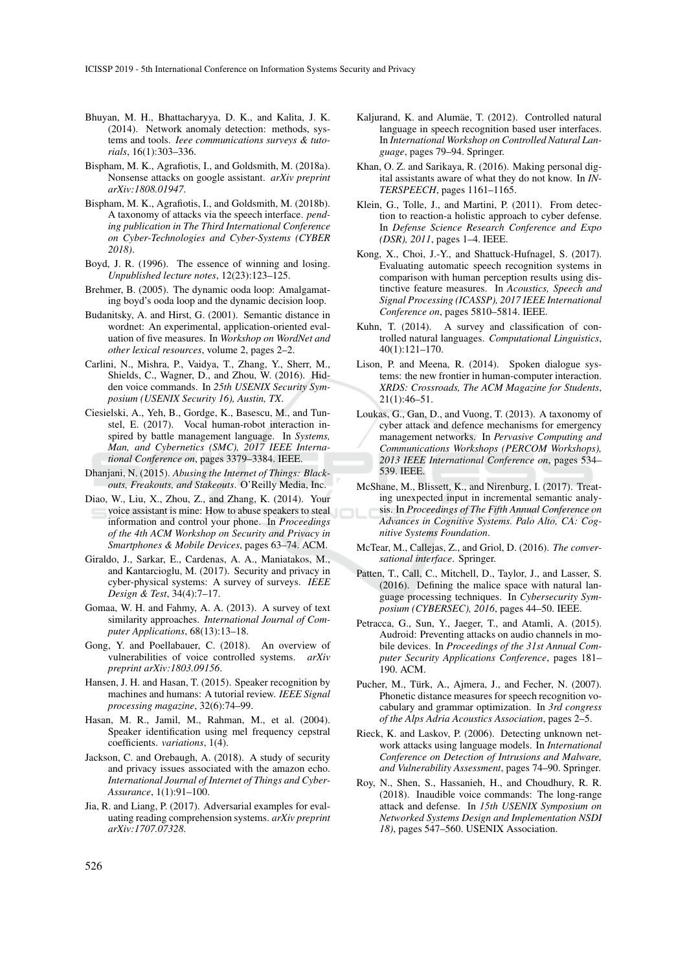- Bhuyan, M. H., Bhattacharyya, D. K., and Kalita, J. K. (2014). Network anomaly detection: methods, systems and tools. *Ieee communications surveys & tutorials*, 16(1):303–336.
- Bispham, M. K., Agrafiotis, I., and Goldsmith, M. (2018a). Nonsense attacks on google assistant. *arXiv preprint arXiv:1808.01947*.
- Bispham, M. K., Agrafiotis, I., and Goldsmith, M. (2018b). A taxonomy of attacks via the speech interface. *pending publication in The Third International Conference on Cyber-Technologies and Cyber-Systems (CYBER 2018)*.
- Boyd, J. R. (1996). The essence of winning and losing. *Unpublished lecture notes*, 12(23):123–125.
- Brehmer, B. (2005). The dynamic ooda loop: Amalgamating boyd's ooda loop and the dynamic decision loop.
- Budanitsky, A. and Hirst, G. (2001). Semantic distance in wordnet: An experimental, application-oriented evaluation of five measures. In *Workshop on WordNet and other lexical resources*, volume 2, pages 2–2.
- Carlini, N., Mishra, P., Vaidya, T., Zhang, Y., Sherr, M., Shields, C., Wagner, D., and Zhou, W. (2016). Hidden voice commands. In *25th USENIX Security Symposium (USENIX Security 16), Austin, TX*.
- Ciesielski, A., Yeh, B., Gordge, K., Basescu, M., and Tunstel, E. (2017). Vocal human-robot interaction inspired by battle management language. In *Systems, Man, and Cybernetics (SMC), 2017 IEEE International Conference on*, pages 3379–3384. IEEE.
- Dhanjani, N. (2015). *Abusing the Internet of Things: Blackouts, Freakouts, and Stakeouts*. O'Reilly Media, Inc.
- Diao, W., Liu, X., Zhou, Z., and Zhang, K. (2014). Your voice assistant is mine: How to abuse speakers to steal information and control your phone. In *Proceedings of the 4th ACM Workshop on Security and Privacy in Smartphones & Mobile Devices*, pages 63–74. ACM.
- Giraldo, J., Sarkar, E., Cardenas, A. A., Maniatakos, M., and Kantarcioglu, M. (2017). Security and privacy in cyber-physical systems: A survey of surveys. *IEEE Design & Test*, 34(4):7–17.
- Gomaa, W. H. and Fahmy, A. A. (2013). A survey of text similarity approaches. *International Journal of Computer Applications*, 68(13):13–18.
- Gong, Y. and Poellabauer, C. (2018). An overview of vulnerabilities of voice controlled systems. *arXiv preprint arXiv:1803.09156*.
- Hansen, J. H. and Hasan, T. (2015). Speaker recognition by machines and humans: A tutorial review. *IEEE Signal processing magazine*, 32(6):74–99.
- Hasan, M. R., Jamil, M., Rahman, M., et al. (2004). Speaker identification using mel frequency cepstral coefficients. *variations*, 1(4).
- Jackson, C. and Orebaugh, A. (2018). A study of security and privacy issues associated with the amazon echo. *International Journal of Internet of Things and Cyber-Assurance*, 1(1):91–100.
- Jia, R. and Liang, P. (2017). Adversarial examples for evaluating reading comprehension systems. *arXiv preprint arXiv:1707.07328*.
- Kaljurand, K. and Alumäe, T. (2012). Controlled natural language in speech recognition based user interfaces. In *International Workshop on Controlled Natural Language*, pages 79–94. Springer.
- Khan, O. Z. and Sarikaya, R. (2016). Making personal digital assistants aware of what they do not know. In *IN-TERSPEECH*, pages 1161–1165.
- Klein, G., Tolle, J., and Martini, P. (2011). From detection to reaction-a holistic approach to cyber defense. In *Defense Science Research Conference and Expo (DSR), 2011*, pages 1–4. IEEE.
- Kong, X., Choi, J.-Y., and Shattuck-Hufnagel, S. (2017). Evaluating automatic speech recognition systems in comparison with human perception results using distinctive feature measures. In *Acoustics, Speech and Signal Processing (ICASSP), 2017 IEEE International Conference on*, pages 5810–5814. IEEE.
- Kuhn, T. (2014). A survey and classification of controlled natural languages. *Computational Linguistics*, 40(1):121–170.
- Lison, P. and Meena, R. (2014). Spoken dialogue systems: the new frontier in human-computer interaction. *XRDS: Crossroads, The ACM Magazine for Students*, 21(1):46–51.
- Loukas, G., Gan, D., and Vuong, T. (2013). A taxonomy of cyber attack and defence mechanisms for emergency management networks. In *Pervasive Computing and Communications Workshops (PERCOM Workshops), 2013 IEEE International Conference on*, pages 534– 539. IEEE.
- McShane, M., Blissett, K., and Nirenburg, I. (2017). Treating unexpected input in incremental semantic analysis. In *Proceedings of The Fifth Annual Conference on Advances in Cognitive Systems. Palo Alto, CA: Cognitive Systems Foundation*.
- McTear, M., Callejas, Z., and Griol, D. (2016). *The conversational interface*. Springer.
- Patten, T., Call, C., Mitchell, D., Taylor, J., and Lasser, S. (2016). Defining the malice space with natural language processing techniques. In *Cybersecurity Symposium (CYBERSEC), 2016*, pages 44–50. IEEE.
- Petracca, G., Sun, Y., Jaeger, T., and Atamli, A. (2015). Audroid: Preventing attacks on audio channels in mobile devices. In *Proceedings of the 31st Annual Computer Security Applications Conference*, pages 181– 190. ACM.
- Pucher, M., Türk, A., Ajmera, J., and Fecher, N. (2007). Phonetic distance measures for speech recognition vocabulary and grammar optimization. In *3rd congress of the Alps Adria Acoustics Association*, pages 2–5.
- Rieck, K. and Laskov, P. (2006). Detecting unknown network attacks using language models. In *International Conference on Detection of Intrusions and Malware, and Vulnerability Assessment*, pages 74–90. Springer.
- Roy, N., Shen, S., Hassanieh, H., and Choudhury, R. R. (2018). Inaudible voice commands: The long-range attack and defense. In *15th USENIX Symposium on Networked Systems Design and Implementation NSDI 18)*, pages 547–560. USENIX Association.